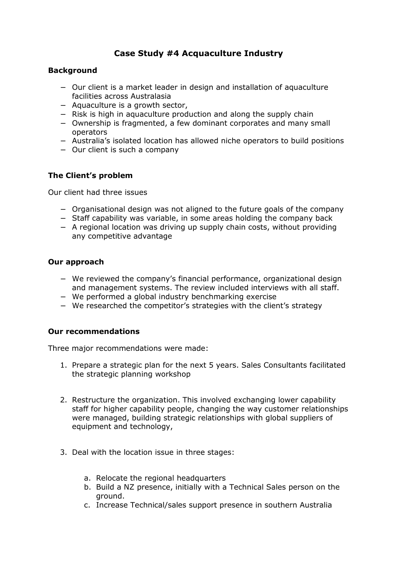# **Case Study #4 Acquaculture Industry**

## **Background**

- − Our client is a market leader in design and installation of aquaculture facilities across Australasia
- − Aquaculture is a growth sector,
- − Risk is high in aquaculture production and along the supply chain
- − Ownership is fragmented, a few dominant corporates and many small operators
- − Australia's isolated location has allowed niche operators to build positions
- − Our client is such a company

### **The Client's problem**

Our client had three issues

- − Organisational design was not aligned to the future goals of the company
- − Staff capability was variable, in some areas holding the company back
- − A regional location was driving up supply chain costs, without providing any competitive advantage

#### **Our approach**

- − We reviewed the company's financial performance, organizational design and management systems. The review included interviews with all staff.
- − We performed a global industry benchmarking exercise
- − We researched the competitor's strategies with the client's strategy

### **Our recommendations**

Three major recommendations were made:

- 1. Prepare a strategic plan for the next 5 years. Sales Consultants facilitated the strategic planning workshop
- 2. Restructure the organization. This involved exchanging lower capability staff for higher capability people, changing the way customer relationships were managed, building strategic relationships with global suppliers of equipment and technology,
- 3. Deal with the location issue in three stages:
	- a. Relocate the regional headquarters
	- b. Build a NZ presence, initially with a Technical Sales person on the ground.
	- c. Increase Technical/sales support presence in southern Australia